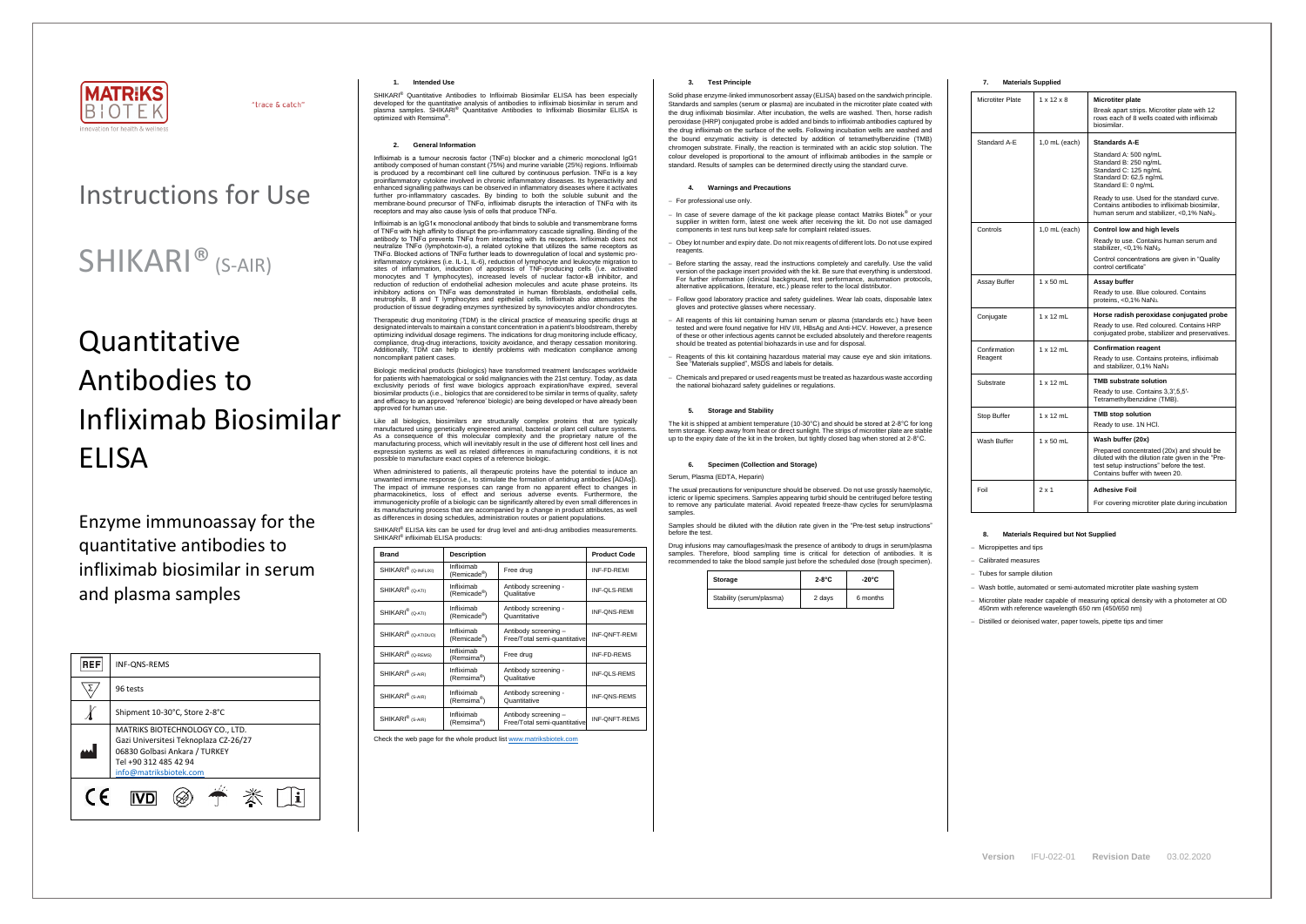

"trace & catch"

# Instructions for Use

# SHIKARI<sup>®</sup> (S-AIR)

# **Quantitative** Antibodies to Infliximab Biosimilar ELISA

Enzyme immunoassay for the quantitative antibodies to infliximab biosimilar in serum and plasma samples

| <b>REF</b> | INF-QNS-REMS                                                                                                                                                 |  |
|------------|--------------------------------------------------------------------------------------------------------------------------------------------------------------|--|
|            | 96 tests                                                                                                                                                     |  |
|            | Shipment 10-30°C, Store 2-8°C                                                                                                                                |  |
|            | MATRIKS BIOTECHNOLOGY CO., LTD.<br>Gazi Universitesi Teknoplaza CZ-26/27<br>06830 Golbasi Ankara / TURKEY<br>Tel +90 312 485 42 94<br>info@matriksbiotek.com |  |
| $\epsilon$ |                                                                                                                                                              |  |

### **1. Intended Use**

SHIKARI® Quantitative Antibodies to Infliximab Biosimilar ELISA has been especially developed for the quantitative analysis of antibodies to infliximab biosimilar in serum and plasma samples. SHIKARI<sup>®</sup> Quantitative Antibodies to Infliximab Biosimilar ELISA is optimized with Remsima .

### **2. General Information**

Infliximab is a tumour necrosis factor (TNFα) blocker and a chimeric monoclonal IgG1 antibody composed of human constant (75%) and murine variable (25%) regions. Infliximab is produced by a recombinant cell line cultured by continuous perfusion. TNFα is a key proinflammatory cytokine involved in chronic inflammatory diseases. Its hyperactivity and enhanced signalling pathways can be observed in inflammatory diseases where it activates further pro-inflammatory cascades. By binding to both the soluble subunit and the membrane-bound precursor of TNFα, infliximab disrupts the interaction of TNFα with its<br>membrane-bound precursor of TNFα, infliximab disrupts the interaction of TNFα with its receptors and may also cause lysis of cells that produce TNFα.

Infliximab is an IgG1κ monoclonal antibody that binds to soluble and transmembrane forms of TNFα with high affinity to disrupt the pro-inflammatory cascade signalling. Binding of the antibody to TNFα prevents TNFα from interacting with its receptors. Infliximab does not neutralize TNFα (lymphotoxin-α), a related cytokine that utilizes the same receptors as TNFα. Blocked actions of TNFα further leads to downregulation of local and systemic proinflammatory cytokines (i.e. IL-1, IL-6), reduction of lymphocyte and leukocyte migration to sites of inflammation, induction of apoptosis of TNF-producing cells (i.e. activated monocytes and T lymphocytes), increased levels of nuclear factor-κB inhibitor, and reduction of reduction of endothelial adhesion molecules and acute phase proteins. Its inhibitory actions on TNFα was demonstrated in human fibroblasts, endothelial cells, neutrophils, B and T lymphocytes and epithelial cells. Infliximab also attenuates the production of tissue degrading enzymes synthesized by synoviocytes and/or chondrocytes.

When administered to patients, all therapeutic proteins have the potential to induce an unwanted immune response (i.e., to stimulate the formation of antidrug antibodies [ADAs]). The impact of immune responses can range from no apparent effect to changes in pharmacokinetics, loss of effect and serious adverse events. Furthermore, the immunogenicity profile of a biologic can be significantly altered by even small differences in its manufacturing process that are accompanied by a change in product attributes, as well as differences in dosing schedules, administration routes or patient populations.

SHIKARI® ELISA kits can be used for drug level and anti-drug antibodies measurements. SHIKARI<sup>®</sup> infliximab ELISA products:

Therapeutic drug monitoring (TDM) is the clinical practice of measuring specific drugs at designated intervals to maintain a constant concentration in a patient's bloodstream, thereby optimizing individual dosage regimens. The indications for drug monitoring include efficacy, compliance, drug-drug interactions, toxicity avoidance, and therapy cessation monitoring. Additionally, TDM can help to identify problems with medication compliance among noncompliant patient cases.

Biologic medicinal products (biologics) have transformed treatment landscapes worldwide for patients with haematological or solid malignancies with the 21st century. Today, as data exclusivity periods of first wave biologics approach expiration/have expired, several biosimilar products (i.e., biologics that are considered to be similar in terms of quality, safety and efficacy to an approved 'reference' biologic) are being developed or have already been approved for human use.

Like all biologics, biosimilars are structurally complex proteins that are typically manufactured using genetically engineered animal, bacterial or plant cell culture systems. As a consequence of this molecular complexity and the proprietary nature of the manufacturing process, which will inevitably result in the use of different host cell lines and expression systems as well as related differences in manufacturing conditions, it is not possible to manufacture exact copies of a reference biologic.

| <b>Brand</b><br><b>Description</b> |                                        |                                                      | <b>Product Code</b>  |
|------------------------------------|----------------------------------------|------------------------------------------------------|----------------------|
| SHIKARI <sup>®</sup> (Q-INFLIXI)   | Infliximab<br>(Remicade <sup>®</sup> ) | Free drug                                            | INF-FD-REMI          |
| SHIKARI <sup>®</sup> (Q-ATI)       | Infliximab<br>(Remicade®)              | Antibody screening -<br>Qualitative                  | INF-QLS-REMI         |
| SHIKARI <sup>®</sup> (Q-ATI)       | Infliximab<br>(Remicade <sup>®</sup> ) | Antibody screening -<br>Quantitative                 | INF-QNS-REMI         |
| SHIKARI <sup>®</sup> (Q-ATIDUO)    | Infliximab<br>(Remicade®)              | Antibody screening -<br>Free/Total semi-quantitative | <b>INF-ONFT-REMI</b> |
| SHIKARI <sup>®</sup> (Q-REMS)      | Infliximab<br>(Remsima®)               | Free drug                                            | INF-FD-REMS          |
| SHIKARI <sup>®</sup> (S-AIR)       | Infliximab<br>(Remsima <sup>®</sup> )  | Antibody screening -<br>Qualitative                  | <b>INF-QLS-REMS</b>  |
| SHIKARI <sup>®</sup> (S-AIR)       | Infliximab<br>(Remsima <sup>®</sup> )  | Antibody screening -<br>Quantitative                 | INF-QNS-REMS         |
| SHIKARI <sup>®</sup> (S-AIR)       | Infliximab<br>(Remsima <sup>®</sup> )  | Antibody screening -<br>Free/Total semi-quantitative | <b>INF-ONFT-REMS</b> |

Check the web page for the whole product lis[t www.matriksbiotek.com](http://www.matriksbiotek.com/)

# **3. Test Principle**

Solid phase enzyme-linked immunosorbent assay (ELISA) based on the sandwich principle. Standards and samples (serum or plasma) are incubated in the microtiter plate coated with the drug infliximab biosimilar. After incubation, the wells are washed. Then, horse radish peroxidase (HRP) conjugated probe is added and binds to infliximab antibodies captured by the drug infliximab on the surface of the wells. Following incubation wells are washed and the bound enzymatic activity is detected by addition of tetramethylbenzidine (TMB) chromogen substrate. Finally, the reaction is terminated with an acidic stop solution. The colour developed is proportional to the amount of infliximab antibodies in the sample or standard. Results of samples can be determined directly using the standard curve.

## **4. Warnings and Precautions**

# − For professional use only.

- − In case of severe damage of the kit package please contact Matriks Biotek® or your supplier in written form, latest one week after receiving the kit. Do not use damaged components in test runs but keep safe for complaint related issues.
- − Obey lot number and expiry date. Do not mix reagents of different lots. Do not use expired reagents
- − Before starting the assay, read the instructions completely and carefully. Use the valid version of the package insert provided with the kit. Be sure that everything is understood. For further information (clinical background, test performance, automation protocols, alternative applications, literature, etc.) please refer to the local distributor.
- − Follow good laboratory practice and safety guidelines. Wear lab coats, disposable latex gloves and protective glasses where necessary.
- − All reagents of this kit containing human serum or plasma (standards etc.) have been tested and were found negative for HIV I/II, HBsAg and Anti-HCV. However, a presence of these or other infectious agents cannot be excluded absolutely and therefore reagents should be treated as potential biohazards in use and for disposal.
- Reagents of this kit containing hazardous material may cause eye and skin irritations. See "Materials supplied", MSDS and labels for details.
- − Chemicals and prepared or used reagents must be treated as hazardous waste according the national biohazard safety guidelines or regulations.

#### **5. Storage and Stability**

The kit is shipped at ambient temperature (10-30°C) and should be stored at 2-8°C for long term storage. Keep away from heat or direct sunlight. The strips of microtiter plate are stable up to the expiry date of the kit in the broken, but tightly closed bag when stored at 2-8°C.

# **6. Specimen (Collection and Storage)**

Serum, Plasma (EDTA, Heparin)

The usual precautions for venipuncture should be observed. Do not use grossly haemolytic, icteric or lipemic specimens. Samples appearing turbid should be centrifuged before testing to remove any particulate material. Avoid repeated freeze-thaw cycles for serum/plasma samples.

Samples should be diluted with the dilution rate given in the "Pre-test setup instructions" before the test.

Drug infusions may camouflages/mask the presence of antibody to drugs in serum/plasma samples. Therefore, blood sampling time is critical for detection of antibodies. It is recommended to take the blood sample just before the scheduled dose (trough specimen).

| Storage                  | $2-8^{\circ}$ C | $-20^{\circ}$ C |
|--------------------------|-----------------|-----------------|
| Stability (serum/plasma) | 2 days          | 6 months        |



## **7. Materials Supplied**

| Microtiter Plate | $1 \times 12 \times 8$ | <b>Microtiter plate</b><br>Break apart strips. Microtiter plate with 12<br>rows each of 8 wells coated with infliximab<br>biosimilar.                                         |
|------------------|------------------------|-------------------------------------------------------------------------------------------------------------------------------------------------------------------------------|
| Standard A-E     | $1,0$ mL (each)        | <b>Standards A-E</b>                                                                                                                                                          |
|                  |                        | Standard A: 500 ng/mL<br>Standard B: 250 ng/mL<br>Standard C: 125 ng/mL<br>Standard D: 62,5 ng/mL<br>Standard E: 0 ng/mL                                                      |
|                  |                        | Ready to use. Used for the standard curve.<br>Contains antibodies to infliximab biosimilar,<br>human serum and stabilizer, <0,1% NaN <sub>3</sub> .                           |
| Controls         | 1,0 mL (each)          | Control low and high levels                                                                                                                                                   |
|                  |                        | Ready to use. Contains human serum and<br>stabilizer, <0,1% NaN <sub>3</sub> .                                                                                                |
|                  |                        | Control concentrations are given in "Quality"<br>control certificate"                                                                                                         |
| Assay Buffer     | $1 \times 50$ mL       | Assay buffer                                                                                                                                                                  |
|                  |                        | Ready to use. Blue coloured. Contains<br>proteins, <0,1% NaN <sub>3</sub> .                                                                                                   |
| Conjugate        | $1 \times 12$ mL       | Horse radish peroxidase conjugated probe                                                                                                                                      |
|                  |                        | Ready to use. Red coloured. Contains HRP<br>conjugated probe, stabilizer and preservatives.                                                                                   |
| Confirmation     | $1 \times 12$ mL       | <b>Confirmation reagent</b>                                                                                                                                                   |
| Reagent          |                        | Ready to use. Contains proteins, infliximab<br>and stabilizer, 0,1% NaN <sub>3</sub>                                                                                          |
| Substrate        | $1 \times 12$ mL       | <b>TMB substrate solution</b>                                                                                                                                                 |
|                  |                        | Ready to use. Contains 3,3',5,5'-<br>Tetramethylbenzidine (TMB).                                                                                                              |
| Stop Buffer      | $1 \times 12$ mL       | <b>TMB stop solution</b>                                                                                                                                                      |
|                  |                        | Ready to use. 1N HCI.                                                                                                                                                         |
| Wash Buffer      | $1 \times 50$ mL       | Wash buffer (20x)                                                                                                                                                             |
|                  |                        | Prepared concentrated (20x) and should be<br>diluted with the dilution rate given in the "Pre-<br>test setup instructions" before the test.<br>Contains buffer with tween 20. |
| Foil             | $2 \times 1$           | <b>Adhesive Foil</b>                                                                                                                                                          |
|                  |                        | For covering microtiter plate during incubation                                                                                                                               |

# **8. Materials Required but Not Supplied**

− Micropipettes and tips

− Calibrated measures

− Tubes for sample dilution

− Wash bottle, automated or semi-automated microtiter plate washing system

− Microtiter plate reader capable of measuring optical density with a photometer at OD 450nm with reference wavelength 650 nm (450/650 nm)

− Distilled or deionised water, paper towels, pipette tips and timer